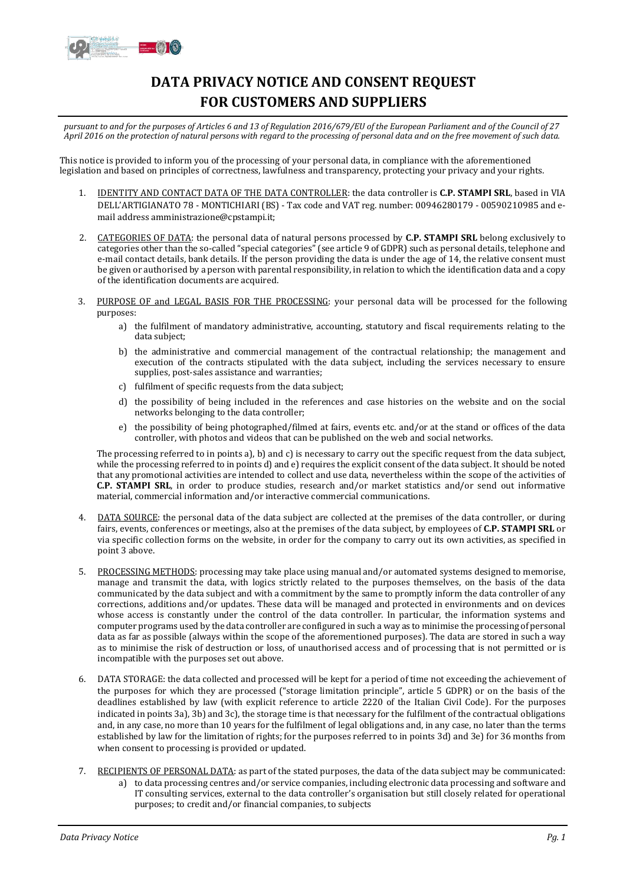

## **DATA PRIVACY NOTICE AND CONSENT REQUEST FOR CUSTOMERS AND SUPPLIERS**

pursuant to and for the purposes of Articles 6 and 13 of Regulation 2016/679/EU of the European Parliament and of the Council of 27 April 2016 on the protection of natural persons with regard to the processing of personal data and on the free movement of such data.

This notice is provided to inform you of the processing of your personal data, in compliance with the aforementioned legislation and based on principles of correctness, lawfulness and transparency, protecting your privacy and your rights.

- 1. IDENTITY AND CONTACT DATA OF THE DATA CONTROLLER: the data controller is **C.P. STAMPI SRL**, based in VIA DELL'ARTIGIANATO 78 - MONTICHIARI (BS) - Tax code and VAT reg. number: 00946280179 - 00590210985 and email address amministrazione@cpstampi.it;
- 2. CATEGORIES OF DATA: the personal data of natural persons processed by **C.P. STAMPI SRL** belong exclusively to categories other than the so-called "special categories" (see article 9 of GDPR) such as personal details, telephone and e-mail contact details, bank details. If the person providing the data is under the age of 14, the relative consent must be given or authorised by a person with parental responsibility, in relation to which the identification data and a copy of the identification documents are acquired.
- 3. PURPOSE OF and LEGAL BASIS FOR THE PROCESSING: your personal data will be processed for the following purposes:
	- a) the fulfilment of mandatory administrative, accounting, statutory and fiscal requirements relating to the data subject;
	- b) the administrative and commercial management of the contractual relationship; the management and execution of the contracts stipulated with the data subject, including the services necessary to ensure supplies, post-sales assistance and warranties;
	- c) fulfilment of specific requests from the data subject;
	- d) the possibility of being included in the references and case histories on the website and on the social networks belonging to the data controller;
	- e) the possibility of being photographed/filmed at fairs, events etc. and/or at the stand or offices of the data controller, with photos and videos that can be published on the web and social networks.

The processing referred to in points a), b) and c) is necessary to carry out the specific request from the data subject, while the processing referred to in points d) and e) requires the explicit consent of the data subject. It should be noted that any promotional activities are intended to collect and use data, nevertheless within the scope of the activities of **C.P. STAMPI SRL**, in order to produce studies, research and/or market statistics and/or send out informative material, commercial information and/or interactive commercial communications.

- 4. DATA SOURCE: the personal data of the data subject are collected at the premises of the data controller, or during fairs, events, conferences or meetings, also at the premises of the data subject, by employees of **C.P. STAMPI SRL** or via specific collection forms on the website, in order for the company to carry out its own activities, as specified in point 3 above.
- 5. PROCESSING METHODS: processing may take place using manual and/or automated systems designed to memorise, manage and transmit the data, with logics strictly related to the purposes themselves, on the basis of the data communicated by the data subject and with a commitment by the same to promptly inform the data controller of any corrections, additions and/or updates. These data will be managed and protected in environments and on devices whose access is constantly under the control of the data controller. In particular, the information systems and computer programs used by the data controller are configured in such a way as to minimise the processing of personal data as far as possible (always within the scope of the aforementioned purposes). The data are stored in such a way as to minimise the risk of destruction or loss, of unauthorised access and of processing that is not permitted or is incompatible with the purposes set out above.
- 6. DATA STORAGE: the data collected and processed will be kept for a period of time not exceeding the achievement of the purposes for which they are processed ("storage limitation principle", article 5 GDPR) or on the basis of the deadlines established by law (with explicit reference to article 2220 of the Italian Civil Code). For the purposes indicated in points 3a), 3b) and 3c), the storage time is that necessary for the fulfilment of the contractual obligations and, in any case, no more than 10 years for the fulfilment of legal obligations and, in any case, no later than the terms established by law for the limitation of rights; for the purposes referred to in points 3d) and 3e) for 36 months from when consent to processing is provided or updated.
- 7. RECIPIENTS OF PERSONAL DATA: as part of the stated purposes, the data of the data subject may be communicated:
	- a) to data processing centres and/or service companies, including electronic data processing and software and IT consulting services, external to the data controller's organisation but still closely related for operational purposes; to credit and/or financial companies, to subjects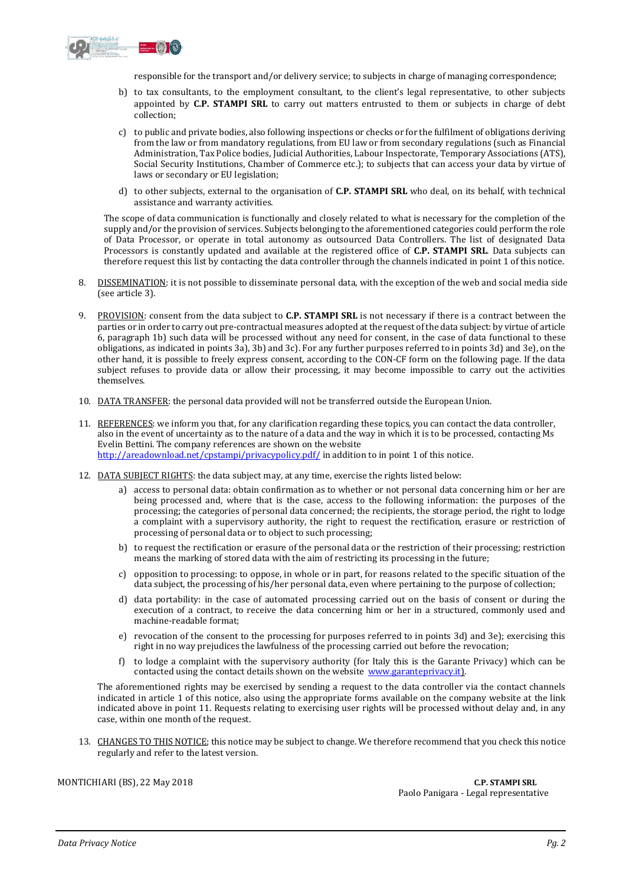

responsible for the transport and/or delivery service; to subjects in charge of managing correspondence;

- b) to tax consultants, to the employment consultant, to the client's legal representative, to other subjects appointed by **C.P. STAMPI SRL** to carry out matters entrusted to them or subjects in charge of debt collection;
- c) to public and private bodies, also following inspections or checks or for the fulfilment of obligations deriving from the law or from mandatory regulations, from EU law or from secondary regulations (such as Financial Administration, Tax Police bodies, Judicial Authorities, Labour Inspectorate, Temporary Associations (ATS), Social Security Institutions, Chamber of Commerce etc.); to subjects that can access your data by virtue of laws or secondary or EU legislation;
- d) to other subjects, external to the organisation of **C.P. STAMPI SRL** who deal, on its behalf, with technical assistance and warranty activities.

The scope of data communication is functionally and closely related to what is necessary for the completion of the supply and/or the provision of services. Subjects belonging to the aforementioned categories could perform the role of Data Processor, or operate in total autonomy as outsourced Data Controllers. The list of designated Data Processors is constantly updated and available at the registered office of **C.P. STAMPI SRL**. Data subjects can therefore request this list by contacting the data controller through the channels indicated in point 1 of this notice.

- 8. DISSEMINATION: it is not possible to disseminate personal data, with the exception of the web and social media side (see article 3).
- 9. PROVISION: consent from the data subject to **C.P. STAMPI SRL** is not necessary if there is a contract between the parties or in order to carry out pre-contractual measures adopted atthe request ofthe data subject: by virtue of article 6, paragraph 1b) such data will be processed without any need for consent, in the case of data functional to these obligations, as indicated in points 3a), 3b) and 3c). For any further purposes referred to in points 3d) and 3e), on the other hand, it is possible to freely express consent, according to the CON-CF form on the following page. If the data subject refuses to provide data or allow their processing, it may become impossible to carry out the activities themselves.
- 10. DATA TRANSFER: the personal data provided will not be transferred outside the European Union.
- 11. REFERENCES: we inform you that, for any clarification regarding these topics, you can contact the data controller, also in the event of uncertainty as to the nature of a data and the way in which it is to be processed, contacting Ms Evelin Bettini. The company references are shown on the website http://areadownload.net/cpstampi/privacypolicy.pdf/ in addition to in point 1 of this notice.
- 12. DATA SUBJECT RIGHTS: the data subject may, at any time, exercise the rights listed below:
	- a) access to personal data: obtain confirmation as to whether or not personal data concerning him or her are being processed and, where that is the case, access to the following information: the purposes of the processing; the categories of personal data concerned; the recipients, the storage period, the right to lodge a complaint with a supervisory authority, the right to request the rectification, erasure or restriction of processing of personal data or to object to such processing;
	- b) to request the rectification or erasure of the personal data or the restriction of their processing; restriction means the marking of stored data with the aim of restricting its processing in the future;
	- c) opposition to processing: to oppose, in whole or in part, for reasons related to the specific situation of the data subject, the processing of his/her personal data, even where pertaining to the purpose of collection;
	- d) data portability: in the case of automated processing carried out on the basis of consent or during the execution of a contract, to receive the data concerning him or her in a structured, commonly used and machine-readable format;
	- e) revocation of the consent to the processing for purposes referred to in points 3d) and 3e); exercising this right in no way prejudices the lawfulness of the processing carried out before the revocation;
	- f) to lodge a complaint with the supervisory authority (for Italy this is the Garante Privacy) which can be contacted using the contact details shown on the website [www.garanteprivacy.it\)](http://www.garanteprivacy.it/).

The aforementioned rights may be exercised by sending a request to the data controller via the contact channels indicated in article 1 of this notice, also using the appropriate forms available on the company website at the link indicated above in point 11. Requests relating to exercising user rights will be processed without delay and, in any case, within one month of the request.

13. CHANGES TO THIS NOTICE; this notice may be subject to change. We therefore recommend that you check this notice regularly and refer to the latest version.

MONTICHIARI (BS), 22 May 2018 **C.P. STAMPI SRL**

Paolo Panigara - Legal representative